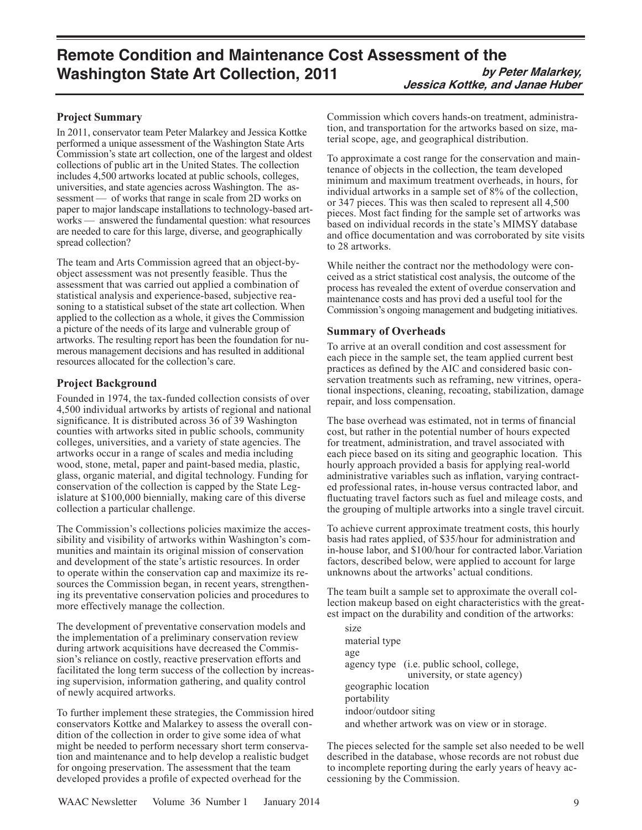# **Remote Condition and Maintenance Cost Assessment of the Washington State Art Collection, 2011** by Peter Malarkey, **Jessica Kottke, and Janae Huber**

## **Project Summary**

In 2011, conservator team Peter Malarkey and Jessica Kottke performed a unique assessment of the Washington State Arts Commission's state art collection, one of the largest and oldest collections of public art in the United States. The collection includes 4,500 artworks located at public schools, colleges, universities, and state agencies across Washington. The assessment — of works that range in scale from 2D works on paper to major landscape installations to technology-based artworks — answered the fundamental question: what resources are needed to care for this large, diverse, and geographically spread collection?

The team and Arts Commission agreed that an object-byobject assessment was not presently feasible. Thus the assessment that was carried out applied a combination of statistical analysis and experience-based, subjective reasoning to a statistical subset of the state art collection. When applied to the collection as a whole, it gives the Commission a picture of the needs of its large and vulnerable group of artworks. The resulting report has been the foundation for numerous management decisions and has resulted in additional resources allocated for the collection's care.

# **Project Background**

Founded in 1974, the tax-funded collection consists of over 4,500 individual artworks by artists of regional and national significance. It is distributed across 36 of 39 Washington counties with artworks sited in public schools, community colleges, universities, and a variety of state agencies. The artworks occur in a range of scales and media including wood, stone, metal, paper and paint-based media, plastic, glass, organic material, and digital technology. Funding for conservation of the collection is capped by the State Legislature at \$100,000 biennially, making care of this diverse collection a particular challenge.

The Commission's collections policies maximize the accessibility and visibility of artworks within Washington's communities and maintain its original mission of conservation and development of the state's artistic resources. In order to operate within the conservation cap and maximize its resources the Commission began, in recent years, strengthening its preventative conservation policies and procedures to more effectively manage the collection.

The development of preventative conservation models and the implementation of a preliminary conservation review during artwork acquisitions have decreased the Commission's reliance on costly, reactive preservation efforts and facilitated the long term success of the collection by increasing supervision, information gathering, and quality control of newly acquired artworks.

To further implement these strategies, the Commission hired conservators Kottke and Malarkey to assess the overall condition of the collection in order to give some idea of what might be needed to perform necessary short term conservation and maintenance and to help develop a realistic budget for ongoing preservation. The assessment that the team developed provides a profile of expected overhead for the

Commission which covers hands-on treatment, administration, and transportation for the artworks based on size, material scope, age, and geographical distribution.

To approximate a cost range for the conservation and maintenance of objects in the collection, the team developed minimum and maximum treatment overheads, in hours, for individual artworks in a sample set of 8% of the collection, or 347 pieces. This was then scaled to represent all 4,500 pieces. Most fact finding for the sample set of artworks was based on individual records in the state's MIMSY database and office documentation and was corroborated by site visits to 28 artworks.

While neither the contract nor the methodology were conceived as a strict statistical cost analysis, the outcome of the process has revealed the extent of overdue conservation and maintenance costs and has provi ded a useful tool for the Commission's ongoing management and budgeting initiatives.

### **Summary of Overheads**

To arrive at an overall condition and cost assessment for each piece in the sample set, the team applied current best practices as defined by the AIC and considered basic conservation treatments such as reframing, new vitrines, operational inspections, cleaning, recoating, stabilization, damage repair, and loss compensation.

The base overhead was estimated, not in terms of financial cost, but rather in the potential number of hours expected for treatment, administration, and travel associated with each piece based on its siting and geographic location. This hourly approach provided a basis for applying real-world administrative variables such as inflation, varying contracted professional rates, in-house versus contracted labor, and fluctuating travel factors such as fuel and mileage costs, and the grouping of multiple artworks into a single travel circuit.

To achieve current approximate treatment costs, this hourly basis had rates applied, of \$35/hour for administration and in-house labor, and \$100/hour for contracted labor.Variation factors, described below, were applied to account for large unknowns about the artworks' actual conditions.

The team built a sample set to approximate the overall collection makeup based on eight characteristics with the greatest impact on the durability and condition of the artworks:

 size material type age agency type (i.e. public school, college, university, or state agency) geographic location portability indoor/outdoor siting and whether artwork was on view or in storage.

The pieces selected for the sample set also needed to be well described in the database, whose records are not robust due to incomplete reporting during the early years of heavy accessioning by the Commission.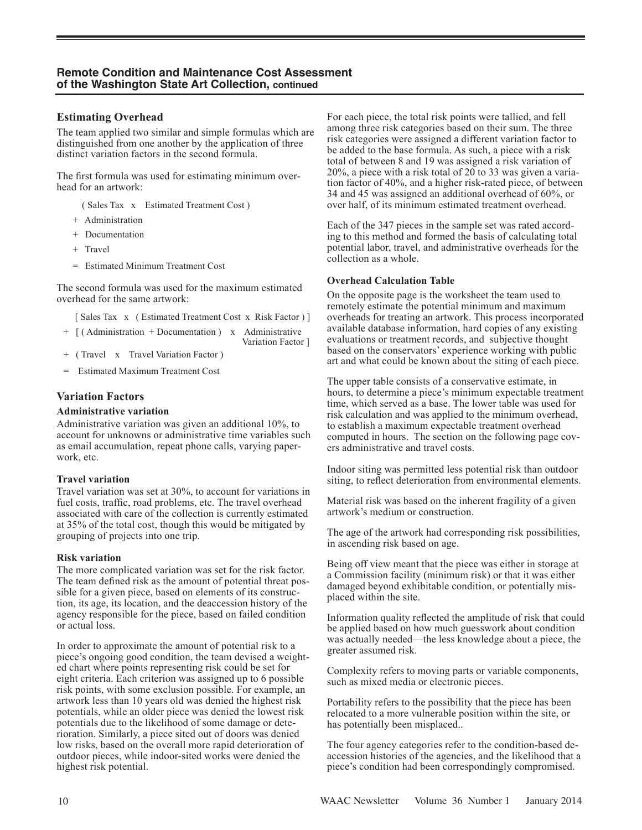### **Estimating Overhead**

The team applied two similar and simple formulas which are distinguished from one another by the application of three distinct variation factors in the second formula.

The first formula was used for estimating minimum overhead for an artwork:

( Sales Tax x Estimated Treatment Cost )

- + Administration
- + Documentation
- + Travel
- = Estimated Minimum Treatment Cost

The second formula was used for the maximum estimated overhead for the same artwork:

[ Sales Tax x ( Estimated Treatment Cost x Risk Factor ) ]

Variation Factor ]

- + [ ( Administration + Documentation ) x Administrative
- + ( Travel x Travel Variation Factor )
- Estimated Maximum Treatment Cost

### **Variation Factors**

#### **Administrative variation**

Administrative variation was given an additional 10%, to account for unknowns or administrative time variables such as email accumulation, repeat phone calls, varying paperwork, etc.

#### **Travel variation**

Travel variation was set at 30%, to account for variations in fuel costs, traffic, road problems, etc. The travel overhead associated with care of the collection is currently estimated at 35% of the total cost, though this would be mitigated by grouping of projects into one trip.

#### **Risk variation**

The more complicated variation was set for the risk factor. The team defined risk as the amount of potential threat possible for a given piece, based on elements of its construction, its age, its location, and the deaccession history of the agency responsible for the piece, based on failed condition or actual loss.

In order to approximate the amount of potential risk to a piece's ongoing good condition, the team devised a weighted chart where points representing risk could be set for eight criteria. Each criterion was assigned up to 6 possible risk points, with some exclusion possible. For example, an artwork less than 10 years old was denied the highest risk potentials, while an older piece was denied the lowest risk potentials due to the likelihood of some damage or deterioration. Similarly, a piece sited out of doors was denied low risks, based on the overall more rapid deterioration of outdoor pieces, while indoor-sited works were denied the highest risk potential.

For each piece, the total risk points were tallied, and fell among three risk categories based on their sum. The three risk categories were assigned a different variation factor to be added to the base formula. As such, a piece with a risk total of between 8 and 19 was assigned a risk variation of 20%, a piece with a risk total of  $20$  to 33 was given a variation factor of 40%, and a higher risk-rated piece, of between 34 and 45 was assigned an additional overhead of 60%, or over half, of its minimum estimated treatment overhead.

Each of the 347 pieces in the sample set was rated according to this method and formed the basis of calculating total potential labor, travel, and administrative overheads for the collection as a whole.

#### **Overhead Calculation Table**

On the opposite page is the worksheet the team used to remotely estimate the potential minimum and maximum overheads for treating an artwork. This process incorporated available database information, hard copies of any existing evaluations or treatment records, and subjective thought based on the conservators' experience working with public art and what could be known about the siting of each piece.

The upper table consists of a conservative estimate, in hours, to determine a piece's minimum expectable treatment time, which served as a base. The lower table was used for risk calculation and was applied to the minimum overhead, to establish a maximum expectable treatment overhead computed in hours. The section on the following page covers administrative and travel costs.

Indoor siting was permitted less potential risk than outdoor siting, to reflect deterioration from environmental elements.

Material risk was based on the inherent fragility of a given artwork's medium or construction.

The age of the artwork had corresponding risk possibilities, in ascending risk based on age.

Being off view meant that the piece was either in storage at a Commission facility (minimum risk) or that it was either damaged beyond exhibitable condition, or potentially misplaced within the site.

Information quality reflected the amplitude of risk that could be applied based on how much guesswork about condition was actually needed—the less knowledge about a piece, the greater assumed risk.

Complexity refers to moving parts or variable components, such as mixed media or electronic pieces.

Portability refers to the possibility that the piece has been relocated to a more vulnerable position within the site, or has potentially been misplaced..

The four agency categories refer to the condition-based deaccession histories of the agencies, and the likelihood that a piece's condition had been correspondingly compromised.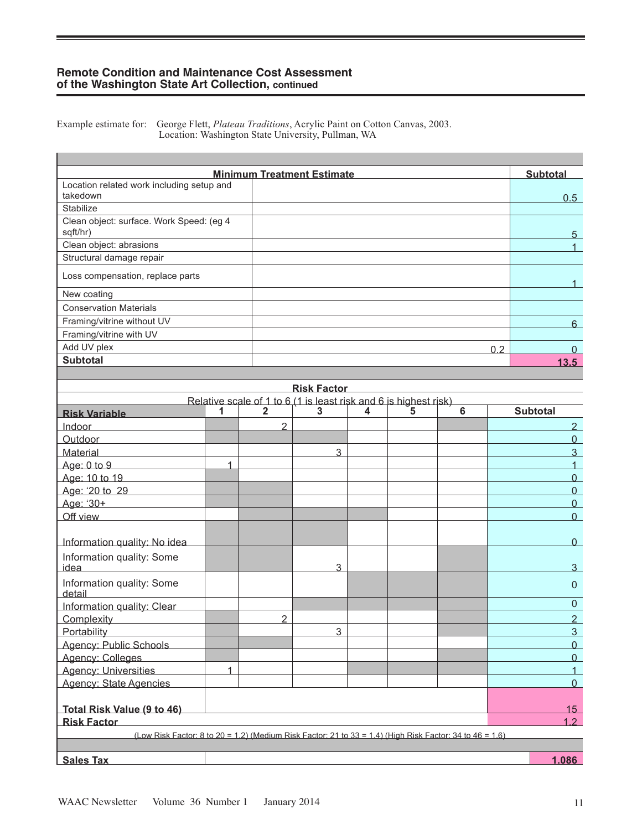### **Remote Condition and Maintenance Cost Assessment of the Washington State Art Collection, continued**

П

Example estimate for: George Flett, *Plateau Traditions*, Acrylic Paint on Cotton Canvas, 2003. Location: Washington State University, Pullman, WA

|                                                                                                          |   |                | <b>Minimum Treatment Estimate</b>                                |   |   |   |     | <b>Subtotal</b>            |
|----------------------------------------------------------------------------------------------------------|---|----------------|------------------------------------------------------------------|---|---|---|-----|----------------------------|
| Location related work including setup and<br>takedown                                                    |   |                |                                                                  |   |   |   |     | 0.5                        |
| Stabilize                                                                                                |   |                |                                                                  |   |   |   |     |                            |
| Clean object: surface. Work Speed: (eg 4<br>sqft/hr)                                                     |   |                |                                                                  |   |   |   | 5   |                            |
| Clean object: abrasions                                                                                  |   |                |                                                                  |   |   |   |     | $\mathbf{1}$               |
| Structural damage repair                                                                                 |   |                |                                                                  |   |   |   |     |                            |
| Loss compensation, replace parts                                                                         |   |                |                                                                  |   |   |   |     | 1                          |
| New coating                                                                                              |   |                |                                                                  |   |   |   |     |                            |
| <b>Conservation Materials</b>                                                                            |   |                |                                                                  |   |   |   |     |                            |
| Framing/vitrine without UV                                                                               |   |                |                                                                  |   |   |   |     | 6                          |
| Framing/vitrine with UV                                                                                  |   |                |                                                                  |   |   |   |     |                            |
| Add UV plex                                                                                              |   |                |                                                                  |   |   |   | 0.2 | $\mathbf{0}$               |
| <b>Subtotal</b>                                                                                          |   |                |                                                                  |   |   |   |     | 13.5                       |
|                                                                                                          |   |                |                                                                  |   |   |   |     |                            |
|                                                                                                          |   |                | <b>Risk Factor</b>                                               |   |   |   |     |                            |
|                                                                                                          |   |                | Relative scale of 1 to 6 (1 is least risk and 6 is highest risk) |   |   |   |     |                            |
| <b>Risk Variable</b>                                                                                     | 1 | $\overline{2}$ | 3                                                                | 4 | 5 | 6 |     | <b>Subtotal</b>            |
| Indoor                                                                                                   |   | 2              |                                                                  |   |   |   |     | $\overline{2}$             |
| Outdoor                                                                                                  |   |                |                                                                  |   |   |   |     | $\overline{0}$             |
| <b>Material</b>                                                                                          |   |                | 3                                                                |   |   |   |     | 3                          |
| Age: 0 to 9                                                                                              | 1 |                |                                                                  |   |   |   |     | $\mathbf{1}$               |
| Age: 10 to 19                                                                                            |   |                |                                                                  |   |   |   |     | $\overline{0}$             |
| Age: '20 to 29                                                                                           |   |                |                                                                  |   |   |   |     | $\overline{0}$<br>$\Omega$ |
| Age: '30+<br>Off view                                                                                    |   |                |                                                                  |   |   |   |     | $\Omega$                   |
|                                                                                                          |   |                |                                                                  |   |   |   |     |                            |
| Information quality: No idea                                                                             |   |                |                                                                  |   |   |   |     | $\Omega$                   |
| Information quality: Some                                                                                |   |                |                                                                  |   |   |   |     |                            |
| idea                                                                                                     |   |                | 3                                                                |   |   |   |     | 3                          |
| Information quality: Some<br>detail                                                                      |   |                |                                                                  |   |   |   |     | $\mathbf{0}$               |
| Information quality: Clear                                                                               |   |                |                                                                  |   |   |   |     | $\pmb{0}$                  |
| Complexity                                                                                               |   | $\overline{2}$ |                                                                  |   |   |   |     | $\overline{2}$             |
| Portability                                                                                              |   |                | 3                                                                |   |   |   |     | $\overline{3}$             |
| Agency: Public Schools                                                                                   |   |                |                                                                  |   |   |   |     | $\Omega$                   |
| Agency: Colleges                                                                                         |   |                |                                                                  |   |   |   |     | $\overline{0}$             |
| <b>Agency: Universities</b>                                                                              | 1 |                |                                                                  |   |   |   |     | $\overline{1}$             |
| Agency: State Agencies                                                                                   |   |                |                                                                  |   |   |   |     | $\overline{0}$             |
| Total Risk Value (9 to 46)                                                                               |   |                |                                                                  |   |   |   |     | <u>15  </u>                |
| <b>Risk Factor</b>                                                                                       |   |                |                                                                  |   |   |   |     | 1.2                        |
| (Low Risk Factor: 8 to 20 = 1.2) (Medium Risk Factor: 21 to 33 = 1.4) (High Risk Factor: 34 to 46 = 1.6) |   |                |                                                                  |   |   |   |     |                            |
|                                                                                                          |   |                |                                                                  |   |   |   |     |                            |
| <b>Sales Tax</b>                                                                                         |   |                |                                                                  |   |   |   |     | 1.086                      |